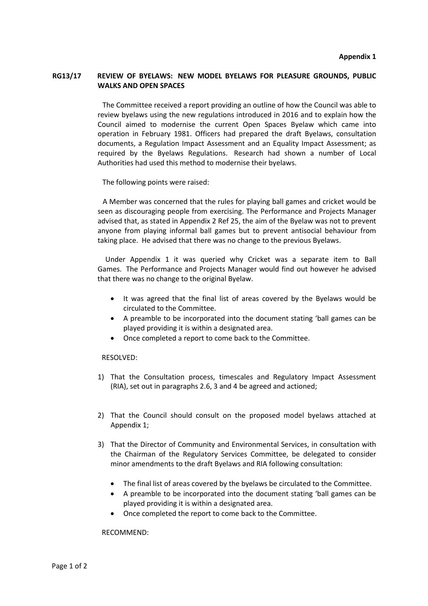## **RG13/17 REVIEW OF BYELAWS: NEW MODEL BYELAWS FOR PLEASURE GROUNDS, PUBLIC WALKS AND OPEN SPACES**

 The Committee received a report providing an outline of how the Council was able to review byelaws using the new regulations introduced in 2016 and to explain how the Council aimed to modernise the current Open Spaces Byelaw which came into operation in February 1981. Officers had prepared the draft Byelaws, consultation documents, a Regulation Impact Assessment and an Equality Impact Assessment; as required by the Byelaws Regulations. Research had shown a number of Local Authorities had used this method to modernise their byelaws.

The following points were raised:

 A Member was concerned that the rules for playing ball games and cricket would be seen as discouraging people from exercising. The Performance and Projects Manager advised that, as stated in Appendix 2 Ref 25, the aim of the Byelaw was not to prevent anyone from playing informal ball games but to prevent antisocial behaviour from taking place. He advised that there was no change to the previous Byelaws.

 Under Appendix 1 it was queried why Cricket was a separate item to Ball Games. The Performance and Projects Manager would find out however he advised that there was no change to the original Byelaw.

- It was agreed that the final list of areas covered by the Byelaws would be circulated to the Committee.
- A preamble to be incorporated into the document stating 'ball games can be played providing it is within a designated area.
- Once completed a report to come back to the Committee.

RESOLVED:

- 1) That the Consultation process, timescales and Regulatory Impact Assessment (RIA), set out in paragraphs 2.6, 3 and 4 be agreed and actioned;
- 2) That the Council should consult on the proposed model byelaws attached at Appendix 1;
- 3) That the Director of Community and Environmental Services, in consultation with the Chairman of the Regulatory Services Committee, be delegated to consider minor amendments to the draft Byelaws and RIA following consultation:
	- The final list of areas covered by the byelaws be circulated to the Committee.
	- A preamble to be incorporated into the document stating 'ball games can be played providing it is within a designated area.
	- Once completed the report to come back to the Committee.

RECOMMEND: